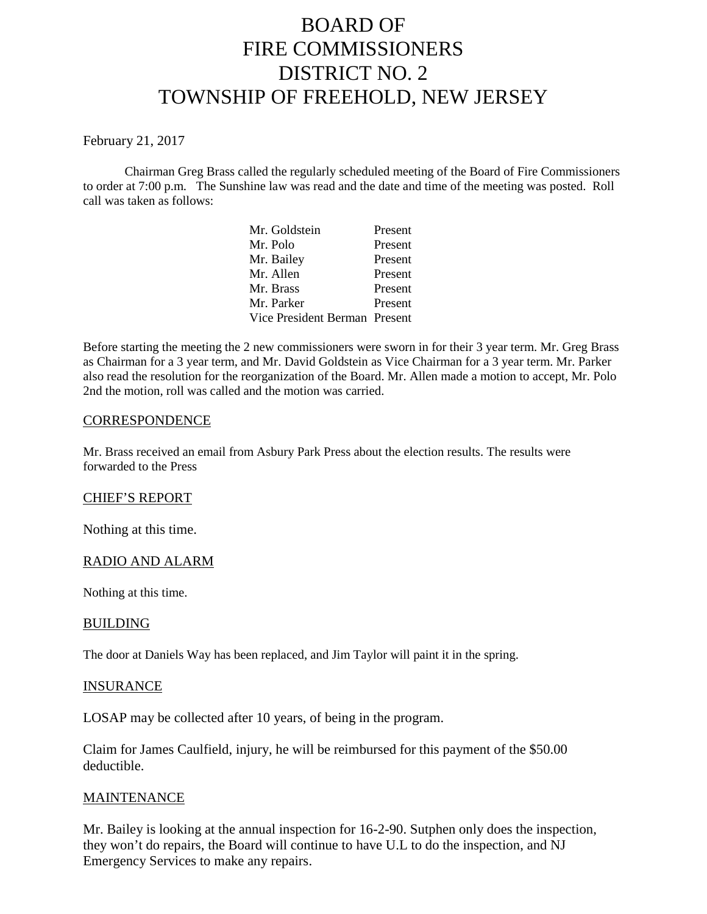# BOARD OF FIRE COMMISSIONERS DISTRICT NO. 2 TOWNSHIP OF FREEHOLD, NEW JERSEY

#### February 21, 2017

Chairman Greg Brass called the regularly scheduled meeting of the Board of Fire Commissioners to order at 7:00 p.m. The Sunshine law was read and the date and time of the meeting was posted. Roll call was taken as follows:

| Mr. Goldstein                 | Present |
|-------------------------------|---------|
| Mr. Polo                      | Present |
| Mr. Bailey                    | Present |
| Mr. Allen                     | Present |
| Mr. Brass                     | Present |
| Mr. Parker                    | Present |
| Vice President Berman Present |         |

Before starting the meeting the 2 new commissioners were sworn in for their 3 year term. Mr. Greg Brass as Chairman for a 3 year term, and Mr. David Goldstein as Vice Chairman for a 3 year term. Mr. Parker also read the resolution for the reorganization of the Board. Mr. Allen made a motion to accept, Mr. Polo 2nd the motion, roll was called and the motion was carried.

### **CORRESPONDENCE**

Mr. Brass received an email from Asbury Park Press about the election results. The results were forwarded to the Press

#### CHIEF'S REPORT

Nothing at this time.

## RADIO AND ALARM

Nothing at this time.

#### BUILDING

The door at Daniels Way has been replaced, and Jim Taylor will paint it in the spring.

#### INSURANCE

LOSAP may be collected after 10 years, of being in the program.

Claim for James Caulfield, injury, he will be reimbursed for this payment of the \$50.00 deductible.

#### **MAINTENANCE**

Mr. Bailey is looking at the annual inspection for 16-2-90. Sutphen only does the inspection, they won't do repairs, the Board will continue to have U.L to do the inspection, and NJ Emergency Services to make any repairs.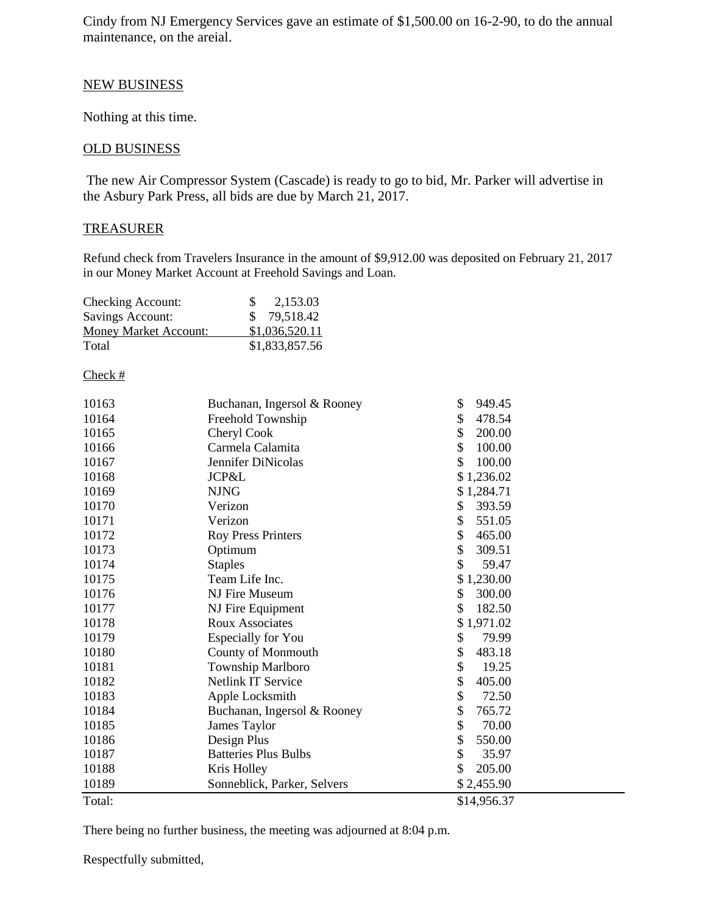Cindy from NJ Emergency Services gave an estimate of \$1,500.00 on 16-2-90, to do the annual maintenance, on the areial.

# NEW BUSINESS

Nothing at this time.

# OLD BUSINESS

The new Air Compressor System (Cascade) is ready to go to bid, Mr. Parker will advertise in the Asbury Park Press, all bids are due by March 21, 2017.

### **TREASURER**

Refund check from Travelers Insurance in the amount of \$9,912.00 was deposited on February 21, 2017 in our Money Market Account at Freehold Savings and Loan.

| Checking Account:            | 2,153.03<br>-SS |
|------------------------------|-----------------|
| Savings Account:             | \$79,518.42     |
| <b>Money Market Account:</b> | \$1,036,520.11  |
| Total                        | \$1,833,857.56  |

#### Check #

| 10163  | Buchanan, Ingersol & Rooney | \$<br>949.45 |  |
|--------|-----------------------------|--------------|--|
| 10164  | Freehold Township           | \$<br>478.54 |  |
| 10165  | Cheryl Cook                 | \$<br>200.00 |  |
| 10166  | Carmela Calamita            | \$<br>100.00 |  |
|        |                             | \$           |  |
| 10167  | Jennifer DiNicolas          | 100.00       |  |
| 10168  | JCP&L                       | \$1,236.02   |  |
| 10169  | <b>NJNG</b>                 | \$1,284.71   |  |
| 10170  | Verizon                     | \$<br>393.59 |  |
| 10171  | Verizon                     | \$<br>551.05 |  |
| 10172  | <b>Roy Press Printers</b>   | \$<br>465.00 |  |
| 10173  | Optimum                     | \$<br>309.51 |  |
| 10174  | <b>Staples</b>              | \$<br>59.47  |  |
| 10175  | Team Life Inc.              | \$1,230.00   |  |
| 10176  | NJ Fire Museum              | \$<br>300.00 |  |
| 10177  | NJ Fire Equipment           | \$<br>182.50 |  |
| 10178  | <b>Roux Associates</b>      | \$1,971.02   |  |
| 10179  | Especially for You          | \$<br>79.99  |  |
| 10180  | County of Monmouth          | \$<br>483.18 |  |
| 10181  | Township Marlboro           | \$<br>19.25  |  |
| 10182  | Netlink IT Service          | \$<br>405.00 |  |
| 10183  | Apple Locksmith             | \$<br>72.50  |  |
| 10184  | Buchanan, Ingersol & Rooney | \$<br>765.72 |  |
| 10185  | James Taylor                | \$<br>70.00  |  |
| 10186  | Design Plus                 | \$<br>550.00 |  |
| 10187  | <b>Batteries Plus Bulbs</b> | \$<br>35.97  |  |
| 10188  | Kris Holley                 | \$<br>205.00 |  |
| 10189  | Sonneblick, Parker, Selvers | \$2,455.90   |  |
| Total: |                             | \$14,956.37  |  |

There being no further business, the meeting was adjourned at 8:04 p.m.

Respectfully submitted,